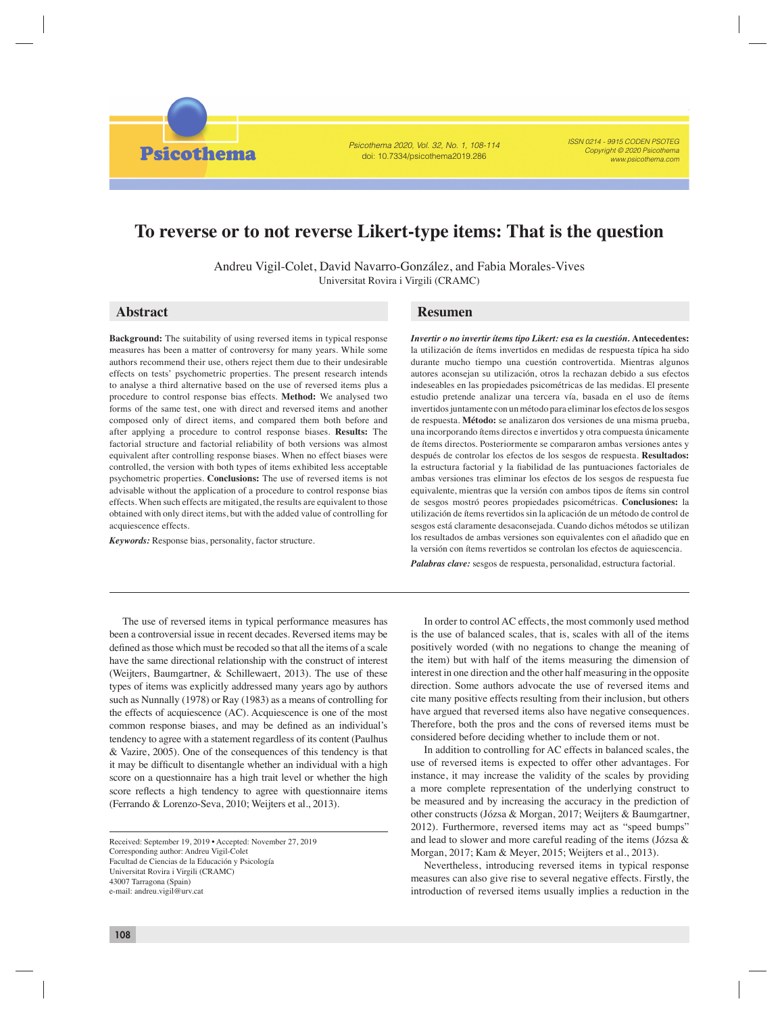Psicothema 2020, Vol. 32, No. 1, 108-114 doi: 10.7334/psicothema2019.286

ISSN 0214 - 9915 CODEN PSOTEG Copyright © 2020 Psicothema www.psicothema.com

# **To reverse or to not reverse Likert-type items: That is the question**

Andreu Vigil-Colet, David Navarro-González, and Fabia Morales-Vives Universitat Rovira i Virgili (CRAMC)

**Psicothema** 

**Background:** The suitability of using reversed items in typical response measures has been a matter of controversy for many years. While some authors recommend their use, others reject them due to their undesirable effects on tests' psychometric properties. The present research intends to analyse a third alternative based on the use of reversed items plus a procedure to control response bias effects. **Method:** We analysed two forms of the same test, one with direct and reversed items and another composed only of direct items, and compared them both before and after applying a procedure to control response biases. **Results:** The factorial structure and factorial reliability of both versions was almost equivalent after controlling response biases. When no effect biases were controlled, the version with both types of items exhibited less acceptable psychometric properties. **Conclusions:** The use of reversed items is not advisable without the application of a procedure to control response bias effects. When such effects are mitigated, the results are equivalent to those obtained with only direct items, but with the added value of controlling for acquiescence effects.

*Keywords:* Response bias, personality, factor structure.

## **Abstract Resumen**

*Invertir o no invertir ítems tipo Likert: esa es la cuestión.* **Antecedentes:**  la utilización de ítems invertidos en medidas de respuesta típica ha sido durante mucho tiempo una cuestión controvertida. Mientras algunos autores aconsejan su utilización, otros la rechazan debido a sus efectos indeseables en las propiedades psicométricas de las medidas. El presente estudio pretende analizar una tercera vía, basada en el uso de ítems invertidos juntamente con un método para eliminar los efectos de los sesgos de respuesta. **Método:** se analizaron dos versiones de una misma prueba, una incorporando ítems directos e invertidos y otra compuesta únicamente de ítems directos. Posteriormente se compararon ambas versiones antes y después de controlar los efectos de los sesgos de respuesta. **Resultados:** la estructura factorial y la fiabilidad de las puntuaciones factoriales de ambas versiones tras eliminar los efectos de los sesgos de respuesta fue equivalente, mientras que la versión con ambos tipos de ítems sin control de sesgos mostró peores propiedades psicométricas. **Conclusiones:** la utilización de ítems revertidos sin la aplicación de un método de control de sesgos está claramente desaconsejada. Cuando dichos métodos se utilizan los resultados de ambas versiones son equivalentes con el añadido que en la versión con ítems revertidos se controlan los efectos de aquiescencia.

*Palabras clave:* sesgos de respuesta, personalidad, estructura factorial.

The use of reversed items in typical performance measures has been a controversial issue in recent decades. Reversed items may be defined as those which must be recoded so that all the items of a scale have the same directional relationship with the construct of interest (Weijters, Baumgartner, & Schillewaert, 2013). The use of these types of items was explicitly addressed many years ago by authors such as Nunnally (1978) or Ray (1983) as a means of controlling for the effects of acquiescence (AC). Acquiescence is one of the most common response biases, and may be defined as an individual's tendency to agree with a statement regardless of its content (Paulhus & Vazire, 2005). One of the consequences of this tendency is that it may be difficult to disentangle whether an individual with a high score on a questionnaire has a high trait level or whether the high score reflects a high tendency to agree with questionnaire items (Ferrando & Lorenzo-Seva, 2010; Weijters et al., 2013).

In order to control AC effects, the most commonly used method is the use of balanced scales, that is, scales with all of the items positively worded (with no negations to change the meaning of the item) but with half of the items measuring the dimension of interest in one direction and the other half measuring in the opposite direction. Some authors advocate the use of reversed items and cite many positive effects resulting from their inclusion, but others have argued that reversed items also have negative consequences. Therefore, both the pros and the cons of reversed items must be considered before deciding whether to include them or not.

In addition to controlling for AC effects in balanced scales, the use of reversed items is expected to offer other advantages. For instance, it may increase the validity of the scales by providing a more complete representation of the underlying construct to be measured and by increasing the accuracy in the prediction of other constructs (Józsa & Morgan, 2017; Weijters & Baumgartner, 2012). Furthermore, reversed items may act as "speed bumps" and lead to slower and more careful reading of the items (Józsa & Morgan, 2017; Kam & Meyer, 2015; Weijters et al., 2013).

Nevertheless, introducing reversed items in typical response measures can also give rise to several negative effects. Firstly, the introduction of reversed items usually implies a reduction in the

Received: September 19, 2019 • Accepted: November 27, 2019 Corresponding author: Andreu Vigil-Colet Facultad de Ciencias de la Educación y Psicología Universitat Rovira i Virgili (CRAMC) 43007 Tarragona (Spain) e-mail: andreu.vigil@urv.cat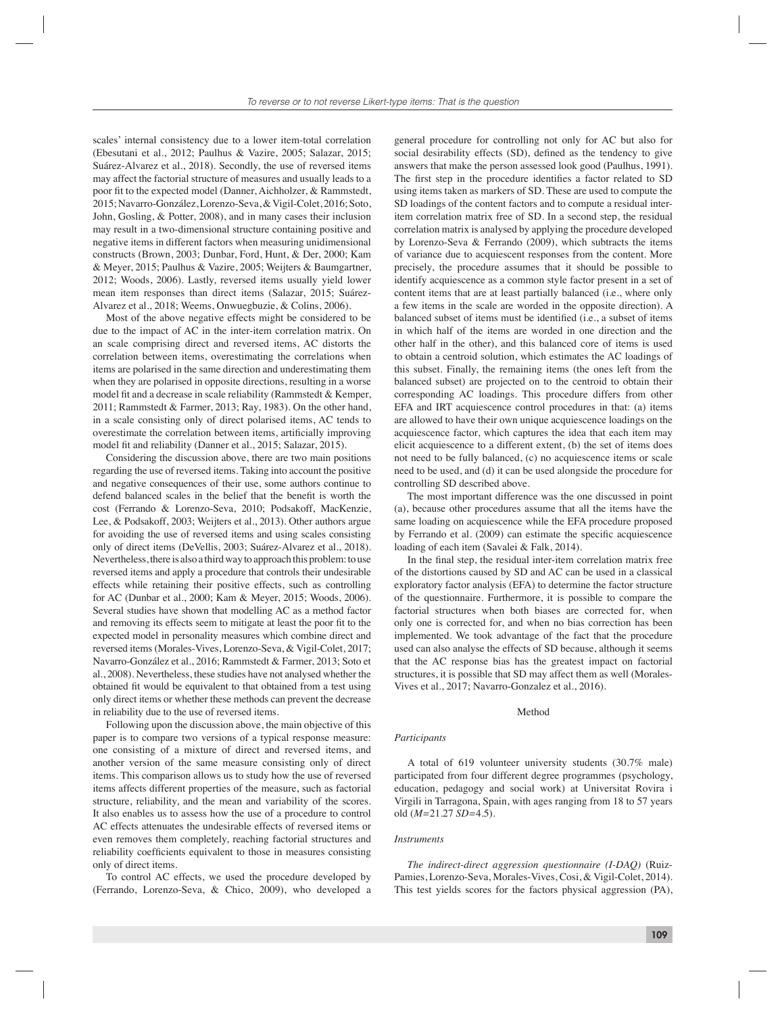scales' internal consistency due to a lower item-total correlation (Ebesutani et al., 2012; Paulhus & Vazire, 2005; Salazar, 2015; Suárez-Alvarez et al., 2018). Secondly, the use of reversed items may affect the factorial structure of measures and usually leads to a poor fit to the expected model (Danner, Aichholzer, & Rammstedt, 2015; Navarro-González, Lorenzo-Seva, & Vigil-Colet, 2016; Soto, John, Gosling, & Potter, 2008), and in many cases their inclusion may result in a two-dimensional structure containing positive and negative items in different factors when measuring unidimensional constructs (Brown, 2003; Dunbar, Ford, Hunt, & Der, 2000; Kam & Meyer, 2015; Paulhus & Vazire, 2005; Weijters & Baumgartner, 2012; Woods, 2006). Lastly, reversed items usually yield lower mean item responses than direct items (Salazar, 2015; Suárez-Alvarez et al., 2018; Weems, Onwuegbuzie, & Colins, 2006).

Most of the above negative effects might be considered to be due to the impact of AC in the inter-item correlation matrix. On an scale comprising direct and reversed items, AC distorts the correlation between items, overestimating the correlations when items are polarised in the same direction and underestimating them when they are polarised in opposite directions, resulting in a worse model fit and a decrease in scale reliability (Rammstedt  $&$  Kemper, 2011; Rammstedt & Farmer, 2013; Ray, 1983). On the other hand, in a scale consisting only of direct polarised items, AC tends to overestimate the correlation between items, artificially improving model fit and reliability (Danner et al., 2015; Salazar, 2015).

Considering the discussion above, there are two main positions regarding the use of reversed items. Taking into account the positive and negative consequences of their use, some authors continue to defend balanced scales in the belief that the benefit is worth the cost (Ferrando & Lorenzo-Seva, 2010; Podsakoff, MacKenzie, Lee, & Podsakoff, 2003; Weijters et al., 2013). Other authors argue for avoiding the use of reversed items and using scales consisting only of direct items (DeVellis, 2003; Suárez-Alvarez et al., 2018). Nevertheless, there is also a third way to approach this problem: to use reversed items and apply a procedure that controls their undesirable effects while retaining their positive effects, such as controlling for AC (Dunbar et al., 2000; Kam & Meyer, 2015; Woods, 2006). Several studies have shown that modelling AC as a method factor and removing its effects seem to mitigate at least the poor fit to the expected model in personality measures which combine direct and reversed items (Morales-Vives, Lorenzo-Seva, & Vigil-Colet, 2017; Navarro-González et al., 2016; Rammstedt & Farmer, 2013; Soto et al., 2008). Nevertheless, these studies have not analysed whether the obtained fit would be equivalent to that obtained from a test using only direct items or whether these methods can prevent the decrease in reliability due to the use of reversed items.

Following upon the discussion above, the main objective of this paper is to compare two versions of a typical response measure: one consisting of a mixture of direct and reversed items, and another version of the same measure consisting only of direct items. This comparison allows us to study how the use of reversed items affects different properties of the measure, such as factorial structure, reliability, and the mean and variability of the scores. It also enables us to assess how the use of a procedure to control AC effects attenuates the undesirable effects of reversed items or even removes them completely, reaching factorial structures and reliability coefficients equivalent to those in measures consisting only of direct items.

To control AC effects, we used the procedure developed by (Ferrando, Lorenzo-Seva, & Chico, 2009), who developed a

general procedure for controlling not only for AC but also for social desirability effects (SD), defined as the tendency to give answers that make the person assessed look good (Paulhus, 1991). The first step in the procedure identifies a factor related to SD using items taken as markers of SD. These are used to compute the SD loadings of the content factors and to compute a residual interitem correlation matrix free of SD. In a second step, the residual correlation matrix is analysed by applying the procedure developed by Lorenzo-Seva & Ferrando (2009), which subtracts the items of variance due to acquiescent responses from the content. More precisely, the procedure assumes that it should be possible to identify acquiescence as a common style factor present in a set of content items that are at least partially balanced (i.e., where only a few items in the scale are worded in the opposite direction). A balanced subset of items must be identified (i.e., a subset of items in which half of the items are worded in one direction and the other half in the other), and this balanced core of items is used to obtain a centroid solution, which estimates the AC loadings of this subset. Finally, the remaining items (the ones left from the balanced subset) are projected on to the centroid to obtain their corresponding AC loadings. This procedure differs from other EFA and IRT acquiescence control procedures in that: (a) items are allowed to have their own unique acquiescence loadings on the acquiescence factor, which captures the idea that each item may elicit acquiescence to a different extent, (b) the set of items does not need to be fully balanced, (c) no acquiescence items or scale need to be used, and (d) it can be used alongside the procedure for controlling SD described above.

The most important difference was the one discussed in point (a), because other procedures assume that all the items have the same loading on acquiescence while the EFA procedure proposed by Ferrando et al. (2009) can estimate the specific acquiescence loading of each item (Savalei & Falk, 2014).

In the final step, the residual inter-item correlation matrix free of the distortions caused by SD and AC can be used in a classical exploratory factor analysis (EFA) to determine the factor structure of the questionnaire. Furthermore, it is possible to compare the factorial structures when both biases are corrected for, when only one is corrected for, and when no bias correction has been implemented. We took advantage of the fact that the procedure used can also analyse the effects of SD because, although it seems that the AC response bias has the greatest impact on factorial structures, it is possible that SD may affect them as well (Morales-Vives et al., 2017; Navarro-Gonzalez et al., 2016).

### Method

#### *Participants*

A total of 619 volunteer university students (30.7% male) participated from four different degree programmes (psychology, education, pedagogy and social work) at Universitat Rovira i Virgili in Tarragona, Spain, with ages ranging from 18 to 57 years old (*M=*21.27 *SD=*4.5).

#### *Instruments*

*The indirect-direct aggression questionnaire (I-DAQ)* (Ruiz-Pamies, Lorenzo-Seva, Morales-Vives, Cosi, & Vigil-Colet, 2014). This test yields scores for the factors physical aggression (PA),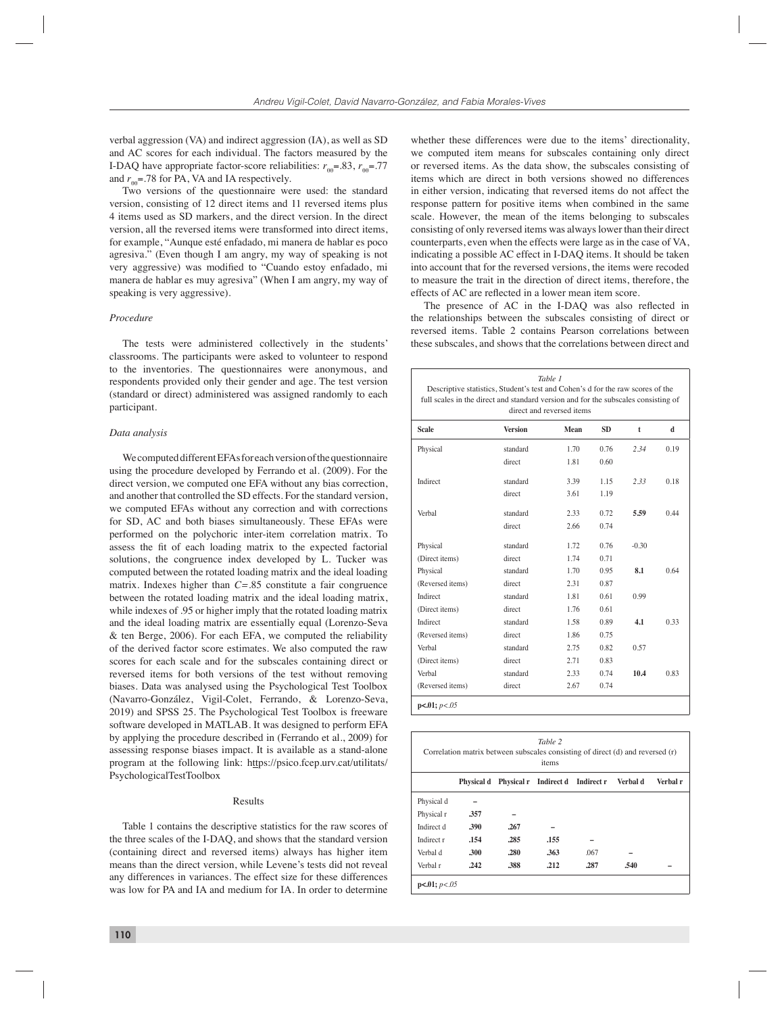verbal aggression (VA) and indirect aggression (IA), as well as SD and AC scores for each individual. The factors measured by the I-DAQ have appropriate factor-score reliabilities:  $r_{\text{eq}} = .83$ ,  $r_{\text{eq}} = .77$ and  $r_{\text{eq}}$ =.78 for PA, VA and IA respectively.

Two versions of the questionnaire were used: the standard version, consisting of 12 direct items and 11 reversed items plus 4 items used as SD markers, and the direct version. In the direct version, all the reversed items were transformed into direct items, for example, "Aunque esté enfadado, mi manera de hablar es poco agresiva." (Even though I am angry, my way of speaking is not very aggressive) was modified to "Cuando estoy enfadado, mi manera de hablar es muy agresiva" (When I am angry, my way of speaking is very aggressive).

#### *Procedure*

The tests were administered collectively in the students' classrooms. The participants were asked to volunteer to respond to the inventories. The questionnaires were anonymous, and respondents provided only their gender and age. The test version (standard or direct) administered was assigned randomly to each participant.

#### *Data analysis*

We computed different EFAs for each version of the questionnaire using the procedure developed by Ferrando et al. (2009). For the direct version, we computed one EFA without any bias correction, and another that controlled the SD effects. For the standard version, we computed EFAs without any correction and with corrections for SD, AC and both biases simultaneously. These EFAs were performed on the polychoric inter-item correlation matrix. To assess the fit of each loading matrix to the expected factorial solutions, the congruence index developed by L. Tucker was computed between the rotated loading matrix and the ideal loading matrix. Indexes higher than *C=*.85 constitute a fair congruence between the rotated loading matrix and the ideal loading matrix, while indexes of .95 or higher imply that the rotated loading matrix and the ideal loading matrix are essentially equal (Lorenzo-Seva & ten Berge, 2006). For each EFA, we computed the reliability of the derived factor score estimates. We also computed the raw scores for each scale and for the subscales containing direct or reversed items for both versions of the test without removing biases. Data was analysed using the Psychological Test Toolbox (Navarro-González, Vigil-Colet, Ferrando, & Lorenzo-Seva, 2019) and SPSS 25. The Psychological Test Toolbox is freeware software developed in MATLAB. It was designed to perform EFA by applying the procedure described in (Ferrando et al., 2009) for assessing response biases impact. It is available as a stand-alone program at the following link: https://psico.fcep.urv.cat/utilitats/ PsychologicalTestToolbox

#### Results

Table 1 contains the descriptive statistics for the raw scores of the three scales of the I-DAQ, and shows that the standard version (containing direct and reversed items) always has higher item means than the direct version, while Levene's tests did not reveal any differences in variances. The effect size for these differences was low for PA and IA and medium for IA. In order to determine

**110**

whether these differences were due to the items' directionality, we computed item means for subscales containing only direct or reversed items. As the data show, the subscales consisting of items which are direct in both versions showed no differences in either version, indicating that reversed items do not affect the response pattern for positive items when combined in the same scale. However, the mean of the items belonging to subscales consisting of only reversed items was always lower than their direct counterparts, even when the effects were large as in the case of VA, indicating a possible AC effect in I-DAQ items. It should be taken into account that for the reversed versions, the items were recoded to measure the trait in the direction of direct items, therefore, the effects of AC are reflected in a lower mean item score.

The presence of AC in the I-DAQ was also reflected in the relationships between the subscales consisting of direct or reversed items. Table 2 contains Pearson correlations between these subscales, and shows that the correlations between direct and

| full scales in the direct and standard version and for the subscales consisting of | Descriptive statistics, Student's test and Cohen's d for the raw scores of the | direct and reversed items |      |         |      |
|------------------------------------------------------------------------------------|--------------------------------------------------------------------------------|---------------------------|------|---------|------|
| <b>Scale</b>                                                                       | <b>Version</b>                                                                 | <b>SD</b><br>Mean         |      |         |      |
| Physical                                                                           | standard                                                                       | 1.70                      | 0.76 | 2.34    | 0.19 |
|                                                                                    | direct                                                                         | 1.81                      | 0.60 |         |      |
| Indirect                                                                           | standard                                                                       | 3.39                      | 1.15 | 2.33    | 0.18 |
|                                                                                    | direct                                                                         | 3.61                      | 1.19 |         |      |
| Verbal                                                                             | standard                                                                       | 2.33                      | 0.72 | 5.59    | 0.44 |
|                                                                                    | direct                                                                         | 2.66                      | 0.74 |         |      |
| Physical                                                                           | standard                                                                       | 1.72                      | 0.76 | $-0.30$ |      |
| (Direct items)                                                                     | direct                                                                         | 1.74                      | 0.71 |         |      |
| Physical                                                                           | standard                                                                       | 1.70                      | 0.95 | 8.1     | 0.64 |
| (Reversed items)                                                                   | direct                                                                         | 2.31                      | 0.87 |         |      |
| Indirect                                                                           | standard                                                                       | 1.81                      | 0.61 | 0.99    |      |
| (Direct items)                                                                     | direct                                                                         | 1.76                      | 0.61 |         |      |
| Indirect                                                                           | standard                                                                       | 1.58                      | 0.89 | 4.1     | 0.33 |
| (Reversed items)                                                                   | direct                                                                         | 1.86                      | 0.75 |         |      |
| Verhal                                                                             | standard                                                                       | 2.75                      | 0.82 | 0.57    |      |
| (Direct items)                                                                     | direct                                                                         | 2.71                      | 0.83 |         |      |
| Verbal                                                                             | standard                                                                       | 2.33                      | 0.74 | 10.4    | 0.83 |
| (Reversed items)                                                                   | direct                                                                         | 2.67                      | 0.74 |         |      |

|            | Correlation matrix between subscales consisting of direct (d) and reversed (r) |      | items                            |      |          |          |
|------------|--------------------------------------------------------------------------------|------|----------------------------------|------|----------|----------|
|            | Physical d                                                                     |      | Physical r Indirect d Indirect r |      | Verbal d | Verbal r |
| Physical d |                                                                                |      |                                  |      |          |          |
| Physical r | 357                                                                            |      |                                  |      |          |          |
| Indirect d | .390                                                                           | .267 |                                  |      |          |          |
| Indirect r | .154                                                                           | .285 | .155                             |      |          |          |
| Verbal d   | .300                                                                           | .280 | .363                             | .067 |          |          |
| Verbal r   | .242                                                                           | .388 | .212                             | .287 | .540     |          |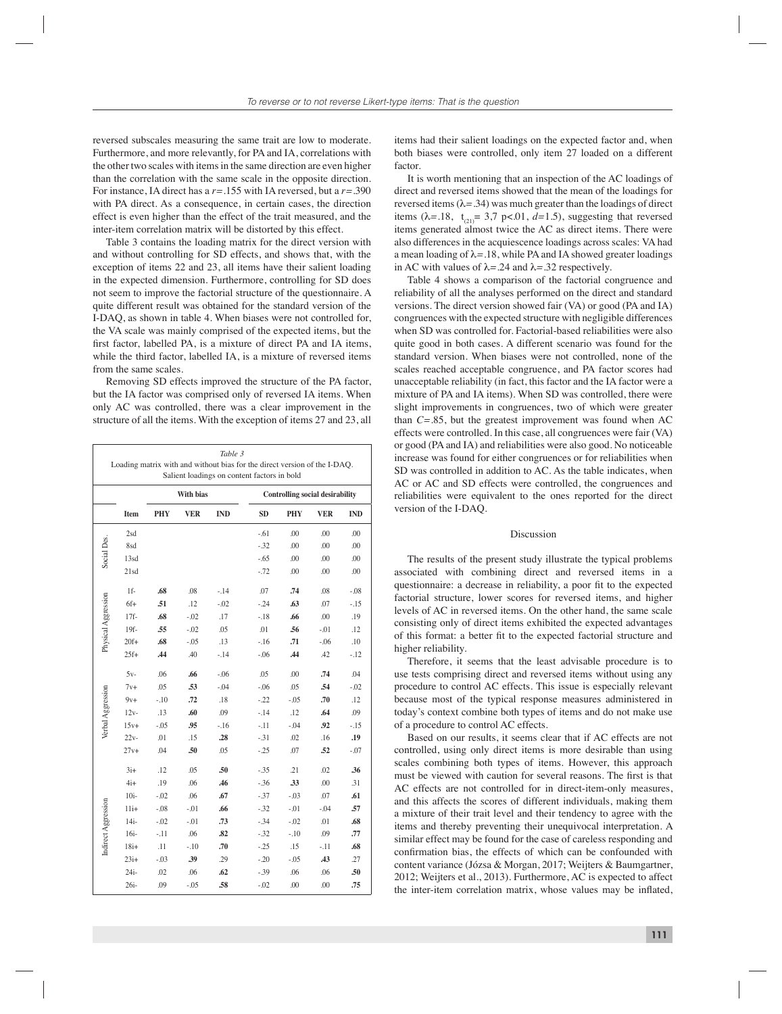reversed subscales measuring the same trait are low to moderate. Furthermore, and more relevantly, for PA and IA, correlations with the other two scales with items in the same direction are even higher than the correlation with the same scale in the opposite direction. For instance, IA direct has a *r=*.155 with IA reversed, but a *r=*.390 with PA direct. As a consequence, in certain cases, the direction effect is even higher than the effect of the trait measured, and the inter-item correlation matrix will be distorted by this effect.

Table 3 contains the loading matrix for the direct version with and without controlling for SD effects, and shows that, with the exception of items 22 and 23, all items have their salient loading in the expected dimension. Furthermore, controlling for SD does not seem to improve the factorial structure of the questionnaire. A quite different result was obtained for the standard version of the I-DAQ, as shown in table 4. When biases were not controlled for, the VA scale was mainly comprised of the expected items, but the first factor, labelled PA, is a mixture of direct PA and IA items, while the third factor, labelled IA, is a mixture of reversed items from the same scales.

Removing SD effects improved the structure of the PA factor, but the IA factor was comprised only of reversed IA items. When only AC was controlled, there was a clear improvement in the structure of all the items. With the exception of items 27 and 23, all

|                     | Table 3<br>Loading matrix with and without bias for the direct version of the I-DAQ.<br>Salient loadings on content factors in bold |            |                  |            |           |            |                                        |            |  |  |
|---------------------|-------------------------------------------------------------------------------------------------------------------------------------|------------|------------------|------------|-----------|------------|----------------------------------------|------------|--|--|
|                     |                                                                                                                                     |            | <b>With bias</b> |            |           |            | <b>Controlling social desirability</b> |            |  |  |
|                     | Item                                                                                                                                | <b>PHY</b> | VER              | <b>IND</b> | <b>SD</b> | <b>PHY</b> | <b>VER</b>                             | <b>IND</b> |  |  |
|                     | 2sd                                                                                                                                 |            |                  |            | $-0.61$   | .00        | .00                                    | .00        |  |  |
| Social Des.         | 8sd                                                                                                                                 |            |                  |            | $-32$     | .00        | .00                                    | .00        |  |  |
|                     | 13sd                                                                                                                                |            |                  |            | $-.65$    | .00        | .00                                    | .00        |  |  |
|                     | 21sd                                                                                                                                |            |                  |            | $-.72$    | .00        | .00                                    | .00        |  |  |
|                     | $1f-$                                                                                                                               | .68        | .08              | $-.14$     | .07       | .74        | .08                                    | $-.08$     |  |  |
| Physical Aggression | $6f+$                                                                                                                               | .51        | .12              | $-.02$     | $-.24$    | .63        | .07                                    | $-.15$     |  |  |
|                     | $17f-$                                                                                                                              | .68        | $-0.02$          | .17        | $-.18$    | .66        | .00                                    | .19        |  |  |
|                     | $19f -$                                                                                                                             | .55        | $-0.02$          | .05        | .01       | .56        | $-.01$                                 | .12        |  |  |
|                     | $20f+$                                                                                                                              | .68        | $-0.05$          | .13        | $-.16$    | .71        | $-.06$                                 | .10        |  |  |
|                     | $25f+$                                                                                                                              | <b>44</b>  | .40              | $-.14$     | $-.06$    | .44        | .42                                    | $-.12$     |  |  |
|                     | $5v-$                                                                                                                               | .06        | .66              | $-.06$     | .05       | .00        | .74                                    | .04        |  |  |
|                     | $7v+$                                                                                                                               | .05        | .53              | $-.04$     | $-.06$    | .05        | .54                                    | $-.02$     |  |  |
| Verbal Aggression   | $9v+$                                                                                                                               | $-.10$     | .72              | .18        | $-22$     | $-.05$     | .70                                    | .12        |  |  |
|                     | $12v -$                                                                                                                             | .13        | .60              | .09        | $-.14$    | .12        | .64                                    | .09        |  |  |
|                     | $15v+$                                                                                                                              | $-.05$     | .95              | $-.16$     | $-.11$    | $-.04$     | .92                                    | $-.15$     |  |  |
|                     | $22v -$                                                                                                                             | .01        | .15              | .28        | $-31$     | .02        | .16                                    | .19        |  |  |
|                     | $27v+$                                                                                                                              | .04        | .50              | .05        | $-25$     | .07        | .52                                    | $-.07$     |  |  |
|                     | $3i+$                                                                                                                               | .12        | .05              | .50        | $-.35$    | .21        | .02                                    | .36        |  |  |
|                     | $4i+$                                                                                                                               | .19        | .06              | .46        | $-36$     | .33        | .00                                    | .31        |  |  |
|                     | $10i-$                                                                                                                              | $-.02$     | .06              | .67        | $-37$     | $-.03$     | .07                                    | .61        |  |  |
|                     | $11i+$                                                                                                                              | $-.08$     | $-0.01$          | .66        | $-32$     | $-.01$     | $-.04$                                 | .57        |  |  |
|                     | $14i-$                                                                                                                              | $-.02$     | $-0.01$          | .73        | $-.34$    | $-.02$     | .01                                    | .68        |  |  |
| Indirect Aggression | $16i -$                                                                                                                             | $-.11$     | .06              | .82        | $-32$     | $-.10$     | .09                                    | .77        |  |  |
|                     | $18i+$                                                                                                                              | .11        | $-.10$           | .70        | $-25$     | .15        | $-.11$                                 | .68        |  |  |
|                     | $23i+$                                                                                                                              | $-.03$     | .39              | .29        | $-.20$    | $-.05$     | .43                                    | .27        |  |  |
|                     | 24i-                                                                                                                                | .02        | .06              | .62        | $-0.39$   | .06        | .06                                    | .50        |  |  |
|                     | $26i -$                                                                                                                             | .09        | $-.05$           | .58        | $-0.02$   | .00        | .00                                    | .75        |  |  |

items had their salient loadings on the expected factor and, when both biases were controlled, only item 27 loaded on a different factor.

It is worth mentioning that an inspection of the AC loadings of direct and reversed items showed that the mean of the loadings for reversed items  $(\lambda = .34)$  was much greater than the loadings of direct items ( $\lambda$ =.18, t<sub>op</sub> = 3,7 p<.01, d=1.5), suggesting that reversed items generated almost twice the AC as direct items. There were also differences in the acquiescence loadings across scales: VA had a mean loading of λ*=*.18, while PA and IA showed greater loadings in AC with values of  $\lambda$ =.24 and  $\lambda$ =.32 respectively.

Table 4 shows a comparison of the factorial congruence and reliability of all the analyses performed on the direct and standard versions. The direct version showed fair (VA) or good (PA and IA) congruences with the expected structure with negligible differences when SD was controlled for. Factorial-based reliabilities were also quite good in both cases. A different scenario was found for the standard version. When biases were not controlled, none of the scales reached acceptable congruence, and PA factor scores had unacceptable reliability (in fact, this factor and the IA factor were a mixture of PA and IA items). When SD was controlled, there were slight improvements in congruences, two of which were greater than *C=*.85, but the greatest improvement was found when AC effects were controlled. In this case, all congruences were fair (VA) or good (PA and IA) and reliabilities were also good. No noticeable increase was found for either congruences or for reliabilities when SD was controlled in addition to AC. As the table indicates, when AC or AC and SD effects were controlled, the congruences and reliabilities were equivalent to the ones reported for the direct version of the I-DAQ.

#### Discussion

The results of the present study illustrate the typical problems associated with combining direct and reversed items in a questionnaire: a decrease in reliability, a poor fit to the expected factorial structure, lower scores for reversed items, and higher levels of AC in reversed items. On the other hand, the same scale consisting only of direct items exhibited the expected advantages of this format: a better fit to the expected factorial structure and higher reliability.

Therefore, it seems that the least advisable procedure is to use tests comprising direct and reversed items without using any procedure to control AC effects. This issue is especially relevant because most of the typical response measures administered in today's context combine both types of items and do not make use of a procedure to control AC effects.

Based on our results, it seems clear that if AC effects are not controlled, using only direct items is more desirable than using scales combining both types of items. However, this approach must be viewed with caution for several reasons. The first is that AC effects are not controlled for in direct-item-only measures, and this affects the scores of different individuals, making them a mixture of their trait level and their tendency to agree with the items and thereby preventing their unequivocal interpretation. A similar effect may be found for the case of careless responding and confirmation bias, the effects of which can be confounded with content variance (Józsa & Morgan, 2017; Weijters & Baumgartner, 2012; Weijters et al., 2013). Furthermore, AC is expected to affect the inter-item correlation matrix, whose values may be inflated,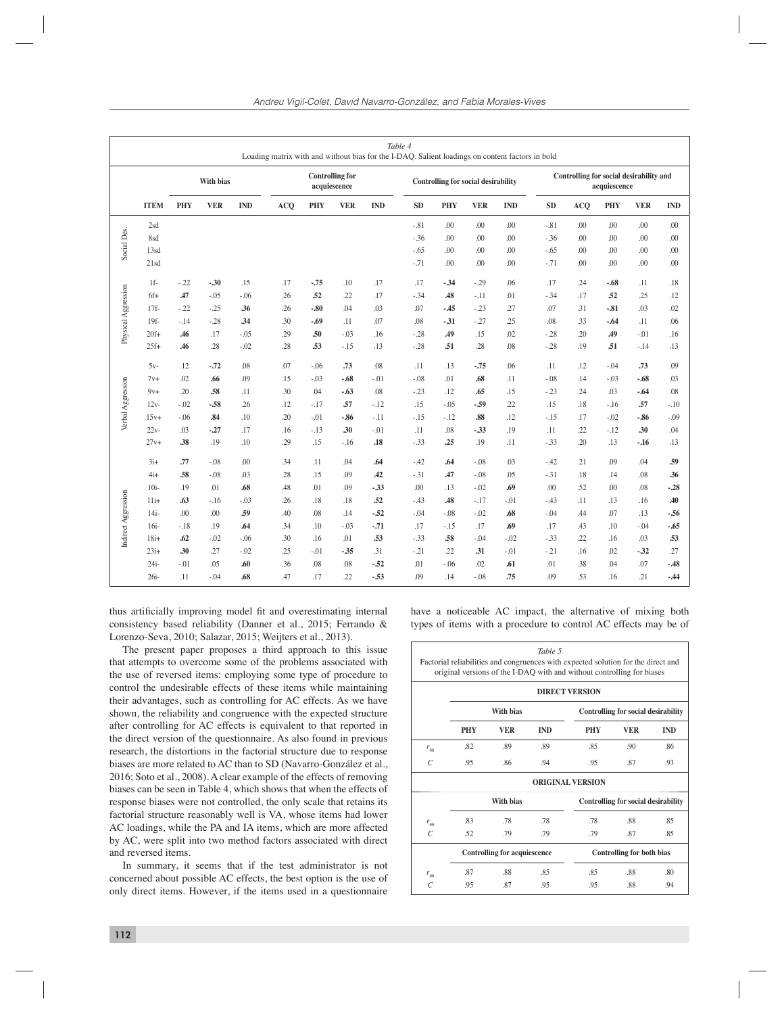|                     |             |            |                  |            | Loading matrix with and without bias for the I-DAQ. Salient loadings on content factors in bold |                        |              |            | Table 4 |            |                                            |            |           |                                         |              |            |            |
|---------------------|-------------|------------|------------------|------------|-------------------------------------------------------------------------------------------------|------------------------|--------------|------------|---------|------------|--------------------------------------------|------------|-----------|-----------------------------------------|--------------|------------|------------|
|                     |             |            | <b>With bias</b> |            |                                                                                                 | <b>Controlling for</b> | acquiescence |            |         |            | <b>Controlling for social desirability</b> |            |           | Controlling for social desirability and | acquiescence |            |            |
|                     | <b>ITEM</b> | <b>PHY</b> | <b>VER</b>       | <b>IND</b> | <b>ACQ</b>                                                                                      | <b>PHY</b>             | <b>VER</b>   | <b>IND</b> | SD      | <b>PHY</b> | <b>VER</b>                                 | <b>IND</b> | <b>SD</b> | <b>ACQ</b>                              | <b>PHY</b>   | <b>VER</b> | <b>IND</b> |
|                     | 2sd         |            |                  |            |                                                                                                 |                        |              |            | $-.81$  | .00        | .00                                        | .00        | $-81$     | .00                                     | .00          | .00        | .00        |
|                     | 8sd         |            |                  |            |                                                                                                 |                        |              |            | $-.36$  | .00        | .00                                        | .00        | $-36$     | .00                                     | .00          | .00        | .00        |
| Social Des.         | 13sd        |            |                  |            |                                                                                                 |                        |              |            | $-.65$  | .00        | .00                                        | .00        | $-.65$    | .00                                     | .00          | .00        | .00        |
|                     | 21sd        |            |                  |            |                                                                                                 |                        |              |            | $-.71$  | .00        | .00                                        | .00        | $-.71$    | .00                                     | .00          | .00        | .00        |
|                     | $1f-$       | $-.22$     | $-0.30$          | .15        | .17                                                                                             | $-.75$                 | .10          | .17        | .17     | $-34$      | $-29$                                      | .06        | .17       | .24                                     | $-.68$       | .11        | .18        |
| Physical Aggression | $6f+$       | A7         | $-.05$           | $-0.06$    | .26                                                                                             | .52                    | .22          | .17        | $-.34$  | <b>48</b>  | $-.11$                                     | .01        | $-34$     | .17                                     | .52          | .25        | .12        |
|                     | $17f-$      | $-.22$     | $-.25$           | .36        | .26                                                                                             | $-0.80$                | .04          | .03        | .07     | $-45$      | $-23$                                      | .27        | .07       | .31                                     | $-0.81$      | .03        | .02        |
|                     | $19f -$     | $-.14$     | $-.28$           | .34        | .30                                                                                             | $-.69$                 | .11          | .07        | .08     | $-31$      | $-27$                                      | .25        | .08       | .33                                     | $-.64$       | .11        | .06        |
|                     | $20f+$      | .46        | .17              | $-0.05$    | .29                                                                                             | .50                    | $-.03$       | .16        | $-.28$  | .49        | .15                                        | .02        | $-28$     | .20                                     | .49          | $-.01$     | .16        |
|                     | $25f+$      | .46        | .28              | $-0.02$    | .28                                                                                             | .53                    | $-.15$       | .13        | $-.28$  | .51        | .28                                        | .08        | $-28$     | .19                                     | .51          | $-.14$     | .13        |
|                     | $5v-$       | .12        | $-.72$           | .08        | .07                                                                                             | $-.06$                 | .73          | .08        | .11     | .13        | $-.75$                                     | .06        | .11       | .12                                     | $-.04$       | .73        | .09        |
|                     | $7v+$       | .02        | .66              | .09        | .15                                                                                             | $-.03$                 | $-.68$       | $-.01$     | $-.08$  | .01        | .68                                        | .11        | $-.08$    | .14                                     | $-.03$       | -.68       | .03        |
| Verbal Aggression   | $9v+$       | .20        | .58              | .11        | .30                                                                                             | .04                    | $-.63$       | .08        | $-.23$  | .12        | .65                                        | .15        | $-.23$    | .24                                     | .03          | -.64       | $.08$      |
|                     | $12v -$     | $-.02$     | $-.58$           | .26        | .12                                                                                             | $-.17$                 | .57          | $-.12$     | .15     | $-.05$     | - 59                                       | .22        | .15       | .18                                     | $-.16$       | .57        | $-.10$     |
|                     | $15v+$      | $-.06$     | .84              | .10        | .20                                                                                             | $-.01$                 | $-0.86$      | $-.11$     | $-.15$  | $-.12$     | .88                                        | .12        | $-.15$    | .17                                     | $-.02$       | -.86       | $-.09$     |
|                     | $22v -$     | .03        | $-27$            | .17        | .16                                                                                             | $-.13$                 | .30          | $-.01$     | .11     | .08        | $-33$                                      | .19        | .11       | .22                                     | $-.12$       | .30        | .04        |
|                     | $27v +$     | .38        | .19              | .10        | .29                                                                                             | .15                    | $-.16$       | .18        | $-.33$  | .25        | .19                                        | .11        | $-33$     | .20                                     | .13          | $-16$      | .13        |
|                     | $3i+$       | .77        | $-.08$           | .00        | .34                                                                                             | .11                    | .04          | .64        | $-.42$  | .64        | $-.08$                                     | .03        | $-42$     | .21                                     | .09          | .04        | .59        |
|                     | $4i+$       | .58        | $-.08$           | .03        | .28                                                                                             | .15                    | .09          | .42        | $-.31$  | .47        | $-.08$                                     | .05        | $-31$     | .18                                     | .14          | .08        | .36        |
|                     | $10i -$     | .19        | .01              | .68        | .48                                                                                             | .01                    | .09          | $-33$      | .00     | .13        | $-0.02$                                    | .69        | .00       | .52                                     | .00          | .08        | $-0.28$    |
|                     | $11i+$      | .63        | $-.16$           | $-0.03$    | .26                                                                                             | .18                    | .18          | .52        | $-.43$  | .48        | $-.17$                                     | $-.01$     | $-.43$    | .11                                     | .13          | .16        | .40        |
|                     | $14i-$      | .00        | .00.             | .59        | .40                                                                                             | .08                    | .14          | $-.52$     | $-.04$  | $-.08$     | $-.02$                                     | .68        | $-0.04$   | .44                                     | .07          | .13        | $-.56$     |
| Indirect Aggression | $16i-$      | $-.18$     | .19              | .64        | .34                                                                                             | .10                    | $-.03$       | $-.71$     | .17     | $-.15$     | .17                                        | .69        | .17       | .43                                     | .10          | $-.04$     | $-.65$     |
|                     | $18i+$      | .62        | $-.02$           | $-0.06$    | .30                                                                                             | .16                    | .01          | .53        | $-33$   | .58        | $-0.04$                                    | $-02$      | $-33$     | .22                                     | .16          | .03        | .53        |
|                     | $23i+$      | .30        | .27              | $-.02$     | .25                                                                                             | $-.01$                 | $-35$        | .31        | $-.21$  | .22        | .31                                        | $-0.01$    | $-21$     | .16                                     | .02          | $-32$      | .27        |
|                     | $24i-$      | $-.01$     | .05              | .60        | .36                                                                                             | .08                    | .08          | $-52$      | .01     | $-.06$     | .02                                        | .61        | .01       | .38                                     | .04          | .07        | $-.48$     |
|                     | $26i -$     | .11        | $-.04$           | .68        | .47                                                                                             | .17                    | .22          | $-.53$     | .09     | .14        | $-.08$                                     | .75        | .09       | .53                                     | .16          | .21        | $-44$      |

thus artificially improving model fit and overestimating internal consistency based reliability (Danner et al., 2015; Ferrando & Lorenzo-Seva, 2010; Salazar, 2015; Weijters et al., 2013).

The present paper proposes a third approach to this issue that attempts to overcome some of the problems associated with the use of reversed items: employing some type of procedure to control the undesirable effects of these items while maintaining their advantages, such as controlling for AC effects. As we have shown, the reliability and congruence with the expected structure after controlling for AC effects is equivalent to that reported in the direct version of the questionnaire. As also found in previous research, the distortions in the factorial structure due to response biases are more related to AC than to SD (Navarro-González et al., 2016; Soto et al., 2008). A clear example of the effects of removing biases can be seen in Table 4, which shows that when the effects of response biases were not controlled, the only scale that retains its factorial structure reasonably well is VA, whose items had lower AC loadings, while the PA and IA items, which are more affected by AC, were split into two method factors associated with direct and reversed items.

In summary, it seems that if the test administrator is not concerned about possible AC effects, the best option is the use of only direct items. However, if the items used in a questionnaire

have a noticeable AC impact, the alternative of mixing both types of items with a procedure to control AC effects may be of

*Table 5*

|                       |                                                         |                                     |            | <b>DIRECT VERSION</b>   |                                            |            |  |  |
|-----------------------|---------------------------------------------------------|-------------------------------------|------------|-------------------------|--------------------------------------------|------------|--|--|
|                       |                                                         | With bias                           |            |                         | <b>Controlling for social desirability</b> |            |  |  |
|                       | <b>PHY</b>                                              | <b>VER</b>                          | <b>IND</b> | <b>PHY</b>              | <b>VER</b>                                 | <b>IND</b> |  |  |
| $r_{\rm ee}$          | .82                                                     | .89                                 | .89        | .85                     | .90                                        | .86        |  |  |
| $\mathcal{C}$         | .95                                                     | .86                                 | .94        | .95                     | .87                                        | .93        |  |  |
|                       |                                                         |                                     |            | <b>ORIGINAL VERSION</b> |                                            |            |  |  |
|                       | With bias<br><b>Controlling for social desirability</b> |                                     |            |                         |                                            |            |  |  |
| $r_{\rm ee}$          | .83                                                     | .78                                 | .78        | .78                     | .88                                        | .85        |  |  |
| $\mathcal{C}_{0}^{0}$ | .52                                                     | .79                                 | .79        | .79                     | .87                                        | .85        |  |  |
|                       |                                                         | <b>Controlling for acquiescence</b> |            |                         | <b>Controlling for both bias</b>           |            |  |  |
| $r_{\rm ee}$          | .87                                                     | .88                                 | .85        | .85                     | .88                                        | .80        |  |  |
| C                     | .95                                                     | .87                                 | .95        | .95                     | .88                                        | .94        |  |  |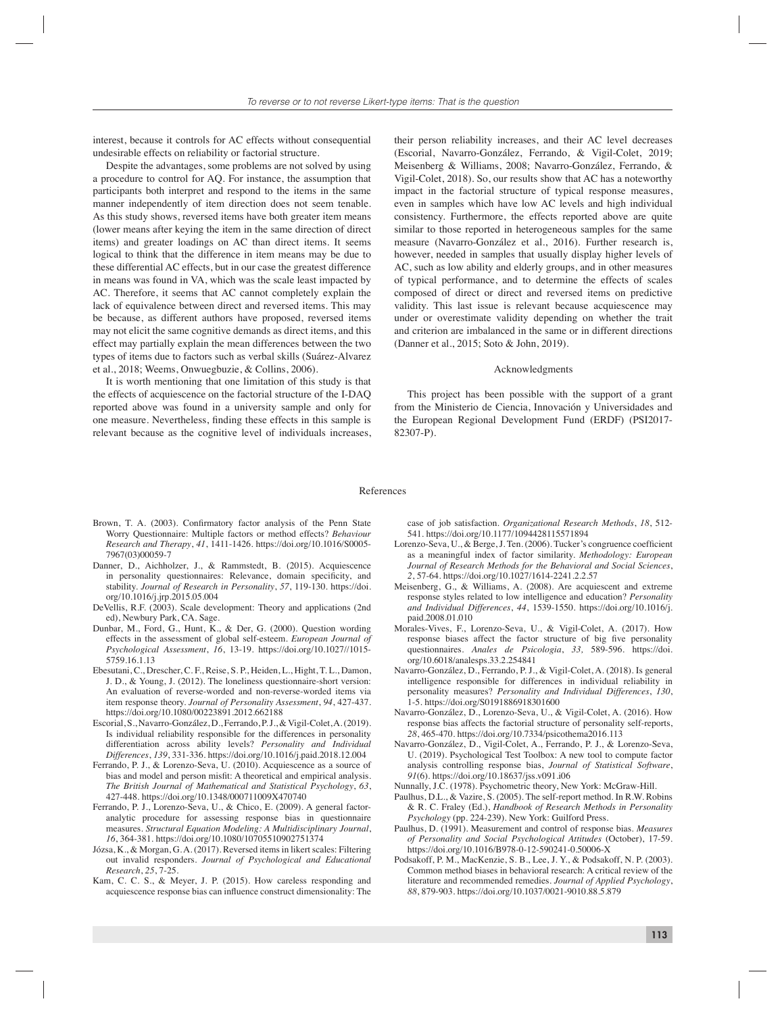interest, because it controls for AC effects without consequential undesirable effects on reliability or factorial structure.

Despite the advantages, some problems are not solved by using a procedure to control for AQ. For instance, the assumption that participants both interpret and respond to the items in the same manner independently of item direction does not seem tenable. As this study shows, reversed items have both greater item means (lower means after keying the item in the same direction of direct items) and greater loadings on AC than direct items. It seems logical to think that the difference in item means may be due to these differential AC effects, but in our case the greatest difference in means was found in VA, which was the scale least impacted by AC. Therefore, it seems that AC cannot completely explain the lack of equivalence between direct and reversed items. This may be because, as different authors have proposed, reversed items may not elicit the same cognitive demands as direct items, and this effect may partially explain the mean differences between the two types of items due to factors such as verbal skills (Suárez-Alvarez et al., 2018; Weems, Onwuegbuzie, & Collins, 2006).

It is worth mentioning that one limitation of this study is that the effects of acquiescence on the factorial structure of the I-DAQ reported above was found in a university sample and only for one measure. Nevertheless, finding these effects in this sample is relevant because as the cognitive level of individuals increases, their person reliability increases, and their AC level decreases (Escorial, Navarro-González, Ferrando, & Vigil-Colet, 2019; Meisenberg & Williams, 2008; Navarro-González, Ferrando, & Vigil-Colet, 2018). So, our results show that AC has a noteworthy impact in the factorial structure of typical response measures, even in samples which have low AC levels and high individual consistency. Furthermore, the effects reported above are quite similar to those reported in heterogeneous samples for the same measure (Navarro-González et al., 2016). Further research is, however, needed in samples that usually display higher levels of AC, such as low ability and elderly groups, and in other measures of typical performance, and to determine the effects of scales composed of direct or direct and reversed items on predictive validity. This last issue is relevant because acquiescence may under or overestimate validity depending on whether the trait and criterion are imbalanced in the same or in different directions (Danner et al., 2015; Soto & John, 2019).

#### Acknowledgments

This project has been possible with the support of a grant from the Ministerio de Ciencia, Innovación y Universidades and the European Regional Development Fund (ERDF) (PSI2017- 82307-P).

#### References

- Brown, T. A. (2003). Confirmatory factor analysis of the Penn State Worry Questionnaire: Multiple factors or method effects? *Behaviour Research and Therapy*, *41*, 1411-1426. https://doi.org/10.1016/S0005- 7967(03)00059-7
- Danner, D., Aichholzer, J., & Rammstedt, B. (2015). Acquiescence in personality questionnaires: Relevance, domain specificity, and stability. *Journal of Research in Personality*, *57*, 119-130. https://doi. org/10.1016/j.jrp.2015.05.004
- DeVellis, R.F. (2003). Scale development: Theory and applications (2nd ed), Newbury Park, CA. Sage.
- Dunbar, M., Ford, G., Hunt, K., & Der, G. (2000). Question wording effects in the assessment of global self-esteem. *European Journal of Psychological Assessment*, *16*, 13-19. https://doi.org/10.1027//1015- 5759.16.1.13
- Ebesutani, C., Drescher, C. F., Reise, S. P., Heiden, L., Hight, T. L., Damon, J. D., & Young, J. (2012). The loneliness questionnaire-short version: An evaluation of reverse-worded and non-reverse-worded items via item response theory. *Journal of Personality Assessment*, *94*, 427-437. https://doi.org/10.1080/00223891.2012.662188
- Escorial, S., Navarro-González, D., Ferrando, P. J., & Vigil-Colet, A. (2019). Is individual reliability responsible for the differences in personality differentiation across ability levels? *Personality and Individual Differences*, *139*, 331-336. https://doi.org/10.1016/j.paid.2018.12.004
- Ferrando, P. J., & Lorenzo-Seva, U. (2010). Acquiescence as a source of bias and model and person misfit: A theoretical and empirical analysis. *The British Journal of Mathematical and Statistical Psychology*, *63*, 427-448. https://doi.org/10.1348/000711009X470740
- Ferrando, P. J., Lorenzo-Seva, U., & Chico, E. (2009). A general factoranalytic procedure for assessing response bias in questionnaire measures. *Structural Equation Modeling: A Multidisciplinary Journal*, *16*, 364-381. https://doi.org/10.1080/10705510902751374
- Józsa, K., & Morgan, G. A. (2017). Reversed items in likert scales: Filtering out invalid responders. *Journal of Psychological and Educational Research*, *25*, 7-25.
- Kam, C. C. S., & Meyer, J. P. (2015). How careless responding and acquiescence response bias can influence construct dimensionality: The

case of job satisfaction. *Organizational Research Methods*, *18*, 512- 541. https://doi.org/10.1177/1094428115571894

- Lorenzo-Seva, U., & Berge, J. Ten. (2006). Tucker's congruence coefficient as a meaningful index of factor similarity. *Methodology: European Journal of Research Methods for the Behavioral and Social Sciences*, *2*, 57-64. https://doi.org/10.1027/1614-2241.2.2.57
- Meisenberg, G., & Williams, A. (2008). Are acquiescent and extreme response styles related to low intelligence and education? *Personality and Individual Differences*, *44*, 1539-1550. https://doi.org/10.1016/j. paid.2008.01.010
- Morales-Vives, F., Lorenzo-Seva, U., & Vigil-Colet, A. (2017). How response biases affect the factor structure of big five personality questionnaires. *Anales de Psicologia*, *33,* 589-596. https://doi. org/10.6018/analesps.33.2.254841
- Navarro-González, D., Ferrando, P. J., & Vigil-Colet, A. (2018). Is general intelligence responsible for differences in individual reliability in personality measures? *Personality and Individual Differences*, *130*, 1-5. https://doi.org/S0191886918301600
- Navarro-González, D., Lorenzo-Seva, U., & Vigil-Colet, A. (2016). How response bias affects the factorial structure of personality self-reports, *28*, 465-470. https://doi.org/10.7334/psicothema2016.113
- Navarro-González, D., Vigil-Colet, A., Ferrando, P. J., & Lorenzo-Seva, U. (2019). Psychological Test Toolbox: A new tool to compute factor analysis controlling response bias, *Journal of Statistical Software*, *91*(6). https://doi.org/10.18637/jss.v091.i06
- Nunnally, J.C. (1978). Psychometric theory, New York: McGraw-Hill.
- Paulhus, D.L., & Vazire, S. (2005). The self-report method. In R.W. Robins & R. C. Fraley (Ed.), *Handbook of Research Methods in Personality Psychology* (pp. 224-239). New York: Guilford Press.
- Paulhus, D. (1991). Measurement and control of response bias. *Measures of Personality and Social Psychological Attitudes* (October), 17-59. https://doi.org/10.1016/B978-0-12-590241-0.50006-X
- Podsakoff, P. M., MacKenzie, S. B., Lee, J. Y., & Podsakoff, N. P. (2003). Common method biases in behavioral research: A critical review of the literature and recommended remedies. *Journal of Applied Psychology*, *88*, 879-903. https://doi.org/10.1037/0021-9010.88.5.879